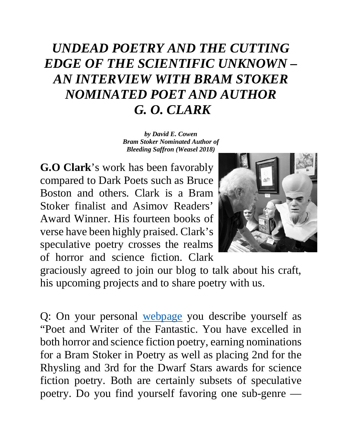## *UNDEAD POETRY AND THE CUTTING EDGE OF THE SCIENTIFIC UNKNOWN – AN INTERVIEW WITH BRAM STOKER NOMINATED POET AND AUTHOR G. O. CLARK*

*by David E. Cowen Bram Stoker Nominated Author of Bleeding Saffron (Weasel 2018)*

**G.O Clark**'s work has been favorably compared to Dark Poets such as Bruce Boston and others. Clark is a Bram Stoker finalist and Asimov Readers' Award Winner. His fourteen books of verse have been highly praised. Clark's speculative poetry crosses the realms of horror and science fiction. Clark



graciously agreed to join our blog to talk about his craft, his upcoming projects and to share poetry with us.

Q: On your personal [webpage](https://goclarkpoet.weebly.com/) you describe yourself as "Poet and Writer of the Fantastic. You have excelled in both horror and science fiction poetry, earning nominations for a Bram Stoker in Poetry as well as placing 2nd for the Rhysling and 3rd for the Dwarf Stars awards for science fiction poetry. Both are certainly subsets of speculative poetry. Do you find yourself favoring one sub-genre —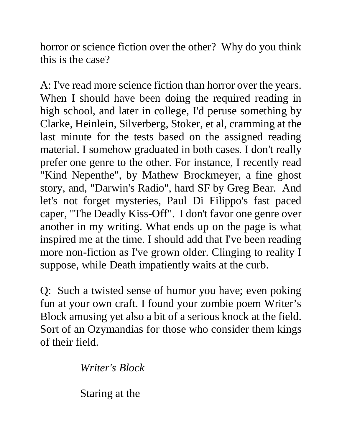horror or science fiction over the other? Why do you think this is the case?

A: I've read more science fiction than horror over the years. When I should have been doing the required reading in high school, and later in college, I'd peruse something by Clarke, Heinlein, Silverberg, Stoker, et al, cramming at the last minute for the tests based on the assigned reading material. I somehow graduated in both cases. I don't really prefer one genre to the other. For instance, I recently read "Kind Nepenthe", by Mathew Brockmeyer, a fine ghost story, and, "Darwin's Radio", hard SF by Greg Bear. And let's not forget mysteries, Paul Di Filippo's fast paced caper, "The Deadly Kiss-Off". I don't favor one genre over another in my writing. What ends up on the page is what inspired me at the time. I should add that I've been reading more non-fiction as I've grown older. Clinging to reality I suppose, while Death impatiently waits at the curb.

Q: Such a twisted sense of humor you have; even poking fun at your own craft. I found your zombie poem Writer's Block amusing yet also a bit of a serious knock at the field. Sort of an Ozymandias for those who consider them kings of their field.

*Writer's Block* 

Staring at the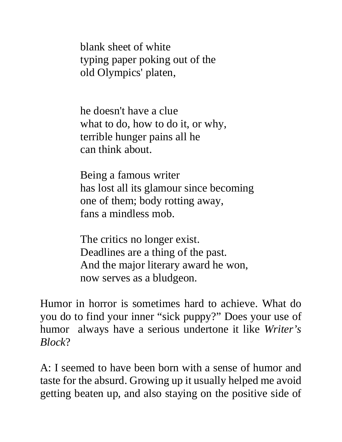blank sheet of white typing paper poking out of the old Olympics' platen,

he doesn't have a clue what to do, how to do it, or why, terrible hunger pains all he can think about.

Being a famous writer has lost all its glamour since becoming one of them; body rotting away, fans a mindless mob.

The critics no longer exist. Deadlines are a thing of the past. And the major literary award he won, now serves as a bludgeon.

Humor in horror is sometimes hard to achieve. What do you do to find your inner "sick puppy?" Does your use of humor always have a serious undertone it like *Writer's Block*?

A: I seemed to have been born with a sense of humor and taste for the absurd. Growing up it usually helped me avoid getting beaten up, and also staying on the positive side of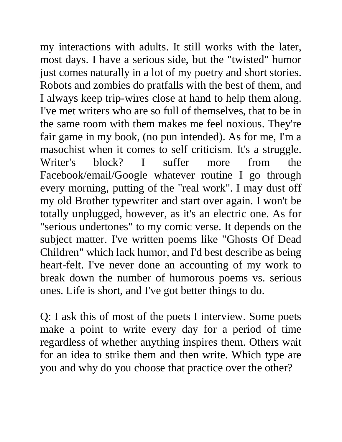my interactions with adults. It still works with the later, most days. I have a serious side, but the "twisted" humor just comes naturally in a lot of my poetry and short stories. Robots and zombies do pratfalls with the best of them, and I always keep trip-wires close at hand to help them along. I've met writers who are so full of themselves, that to be in the same room with them makes me feel noxious. They're fair game in my book, (no pun intended). As for me, I'm a masochist when it comes to self criticism. It's a struggle. Writer's block? I suffer more from the Facebook/email/Google whatever routine I go through every morning, putting of the "real work". I may dust off my old Brother typewriter and start over again. I won't be totally unplugged, however, as it's an electric one. As for "serious undertones" to my comic verse. It depends on the subject matter. I've written poems like "Ghosts Of Dead Children" which lack humor, and I'd best describe as being heart-felt. I've never done an accounting of my work to break down the number of humorous poems vs. serious ones. Life is short, and I've got better things to do.

Q: I ask this of most of the poets I interview. Some poets make a point to write every day for a period of time regardless of whether anything inspires them. Others wait for an idea to strike them and then write. Which type are you and why do you choose that practice over the other?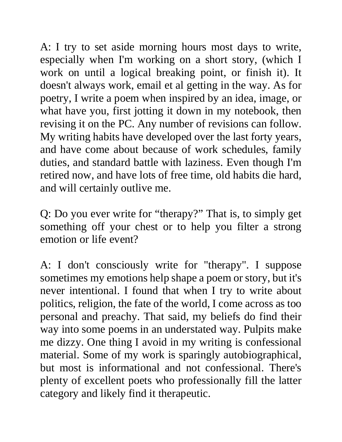A: I try to set aside morning hours most days to write, especially when I'm working on a short story, (which I work on until a logical breaking point, or finish it). It doesn't always work, email et al getting in the way. As for poetry, I write a poem when inspired by an idea, image, or what have you, first jotting it down in my notebook, then revising it on the PC. Any number of revisions can follow. My writing habits have developed over the last forty years, and have come about because of work schedules, family duties, and standard battle with laziness. Even though I'm retired now, and have lots of free time, old habits die hard, and will certainly outlive me.

Q: Do you ever write for "therapy?" That is, to simply get something off your chest or to help you filter a strong emotion or life event?

A: I don't consciously write for "therapy". I suppose sometimes my emotions help shape a poem or story, but it's never intentional. I found that when I try to write about politics, religion, the fate of the world, I come across as too personal and preachy. That said, my beliefs do find their way into some poems in an understated way. Pulpits make me dizzy. One thing I avoid in my writing is confessional material. Some of my work is sparingly autobiographical, but most is informational and not confessional. There's plenty of excellent poets who professionally fill the latter category and likely find it therapeutic.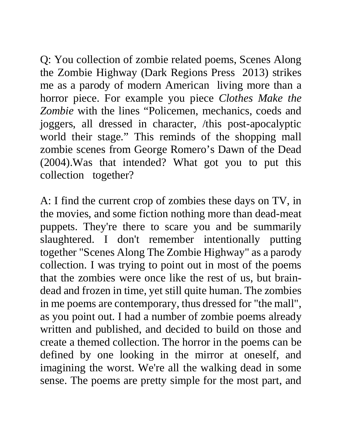Q: You collection of zombie related poems, Scenes Along the Zombie Highway (Dark Regions Press 2013) strikes me as a parody of modern American living more than a horror piece. For example you piece *Clothes Make the Zombie* with the lines "Policemen, mechanics, coeds and joggers, all dressed in character, /this post-apocalyptic world their stage." This reminds of the shopping mall zombie scenes from George Romero's Dawn of the Dead (2004).Was that intended? What got you to put this collection together?

A: I find the current crop of zombies these days on TV, in the movies, and some fiction nothing more than dead-meat puppets. They're there to scare you and be summarily slaughtered. I don't remember intentionally putting together "Scenes Along The Zombie Highway" as a parody collection. I was trying to point out in most of the poems that the zombies were once like the rest of us, but braindead and frozen in time, yet still quite human. The zombies in me poems are contemporary, thus dressed for "the mall", as you point out. I had a number of zombie poems already written and published, and decided to build on those and create a themed collection. The horror in the poems can be defined by one looking in the mirror at oneself, and imagining the worst. We're all the walking dead in some sense. The poems are pretty simple for the most part, and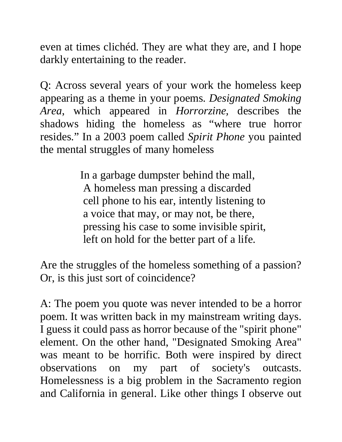even at times clichéd. They are what they are, and I hope darkly entertaining to the reader.

Q: Across several years of your work the homeless keep appearing as a theme in your poems. *Designated Smoking Area*, which appeared in *Horrorzine,* describes the shadows hiding the homeless as "where true horror resides." In a 2003 poem called *Spirit Phone* you painted the mental struggles of many homeless

> In a garbage dumpster behind the mall, A homeless man pressing a discarded cell phone to his ear, intently listening to a voice that may, or may not, be there, pressing his case to some invisible spirit, left on hold for the better part of a life.

Are the struggles of the homeless something of a passion? Or, is this just sort of coincidence?

A: The poem you quote was never intended to be a horror poem. It was written back in my mainstream writing days. I guess it could pass as horror because of the "spirit phone" element. On the other hand, "Designated Smoking Area" was meant to be horrific. Both were inspired by direct observations on my part of society's outcasts. Homelessness is a big problem in the Sacramento region and California in general. Like other things I observe out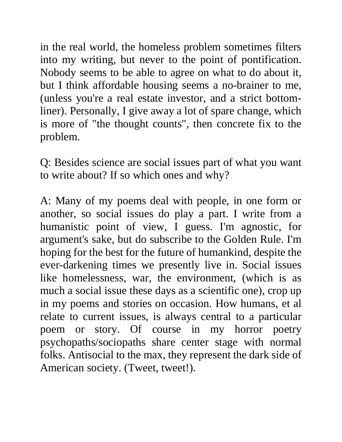in the real world, the homeless problem sometimes filters into my writing, but never to the point of pontification. Nobody seems to be able to agree on what to do about it, but I think affordable housing seems a no-brainer to me, (unless you're a real estate investor, and a strict bottomliner). Personally, I give away a lot of spare change, which is more of "the thought counts", then concrete fix to the problem.

Q: Besides science are social issues part of what you want to write about? If so which ones and why?

A: Many of my poems deal with people, in one form or another, so social issues do play a part. I write from a humanistic point of view, I guess. I'm agnostic, for argument's sake, but do subscribe to the Golden Rule. I'm hoping for the best for the future of humankind, despite the ever-darkening times we presently live in. Social issues like homelessness, war, the environment, (which is as much a social issue these days as a scientific one), crop up in my poems and stories on occasion. How humans, et al relate to current issues, is always central to a particular poem or story. Of course in my horror poetry psychopaths/sociopaths share center stage with normal folks. Antisocial to the max, they represent the dark side of American society. (Tweet, tweet!).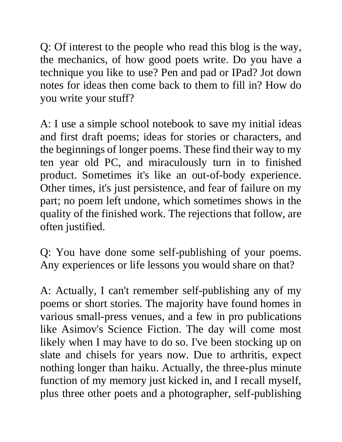Q: Of interest to the people who read this blog is the way, the mechanics, of how good poets write. Do you have a technique you like to use? Pen and pad or IPad? Jot down notes for ideas then come back to them to fill in? How do you write your stuff?

A: I use a simple school notebook to save my initial ideas and first draft poems; ideas for stories or characters, and the beginnings of longer poems. These find their way to my ten year old PC, and miraculously turn in to finished product. Sometimes it's like an out-of-body experience. Other times, it's just persistence, and fear of failure on my part; no poem left undone, which sometimes shows in the quality of the finished work. The rejections that follow, are often justified.

Q: You have done some self-publishing of your poems. Any experiences or life lessons you would share on that?

A: Actually, I can't remember self-publishing any of my poems or short stories. The majority have found homes in various small-press venues, and a few in pro publications like Asimov's Science Fiction. The day will come most likely when I may have to do so. I've been stocking up on slate and chisels for years now. Due to arthritis, expect nothing longer than haiku. Actually, the three-plus minute function of my memory just kicked in, and I recall myself, plus three other poets and a photographer, self-publishing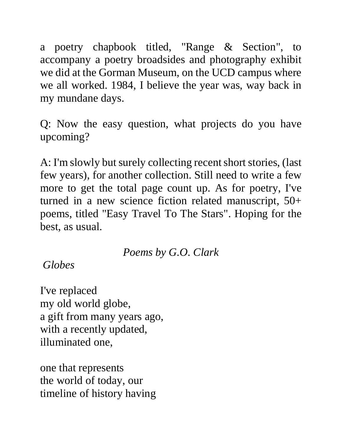a poetry chapbook titled, "Range & Section", to accompany a poetry broadsides and photography exhibit we did at the Gorman Museum, on the UCD campus where we all worked. 1984, I believe the year was, way back in my mundane days.

Q: Now the easy question, what projects do you have upcoming?

A: I'm slowly but surely collecting recent short stories, (last few years), for another collection. Still need to write a few more to get the total page count up. As for poetry, I've turned in a new science fiction related manuscript, 50+ poems, titled "Easy Travel To The Stars". Hoping for the best, as usual.

*Poems by G.O. Clark*

*Globes*

I've replaced my old world globe, a gift from many years ago, with a recently updated, illuminated one,

one that represents the world of today, our timeline of history having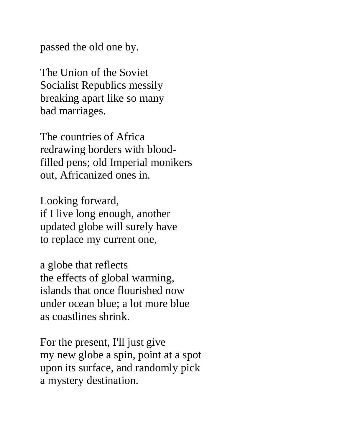passed the old one by.

The Union of the Soviet Socialist Republics messily breaking apart like so many bad marriages.

The countries of Africa redrawing borders with bloodfilled pens; old Imperial monikers out, Africanized ones in.

Looking forward, if I live long enough, another updated globe will surely have to replace my current one,

a globe that reflects the effects of global warming, islands that once flourished now under ocean blue; a lot more blue as coastlines shrink.

For the present, I'll just give my new globe a spin, point at a spot upon its surface, and randomly pick a mystery destination.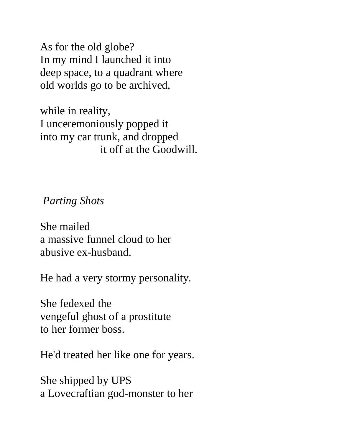As for the old globe? In my mind I launched it into deep space, to a quadrant where old worlds go to be archived,

while in reality, I unceremoniously popped it into my car trunk, and dropped it off at the Goodwill.

*Parting Shots*

She mailed a massive funnel cloud to her abusive ex-husband.

He had a very stormy personality.

She fedexed the vengeful ghost of a prostitute to her former boss.

He'd treated her like one for years.

She shipped by UPS a Lovecraftian god-monster to her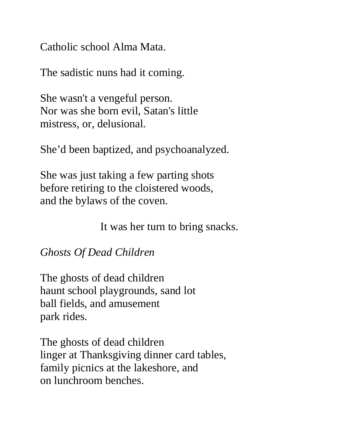Catholic school Alma Mata.

The sadistic nuns had it coming.

She wasn't a vengeful person. Nor was she born evil, Satan's little mistress, or, delusional.

She'd been baptized, and psychoanalyzed.

She was just taking a few parting shots before retiring to the cloistered woods, and the bylaws of the coven.

It was her turn to bring snacks.

## *Ghosts Of Dead Children*

The ghosts of dead children haunt school playgrounds, sand lot ball fields, and amusement park rides.

The ghosts of dead children linger at Thanksgiving dinner card tables, family picnics at the lakeshore, and on lunchroom benches.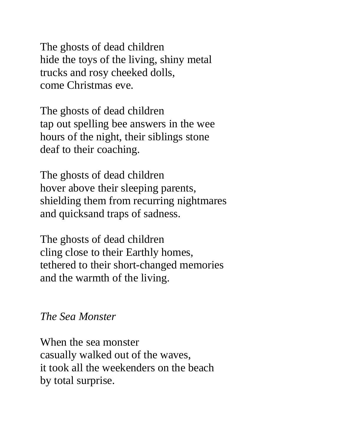The ghosts of dead children hide the toys of the living, shiny metal trucks and rosy cheeked dolls, come Christmas eve.

The ghosts of dead children tap out spelling bee answers in the wee hours of the night, their siblings stone deaf to their coaching.

The ghosts of dead children hover above their sleeping parents, shielding them from recurring nightmares and quicksand traps of sadness.

The ghosts of dead children cling close to their Earthly homes, tethered to their short-changed memories and the warmth of the living.

## *The Sea Monster*

When the sea monster casually walked out of the waves, it took all the weekenders on the beach by total surprise.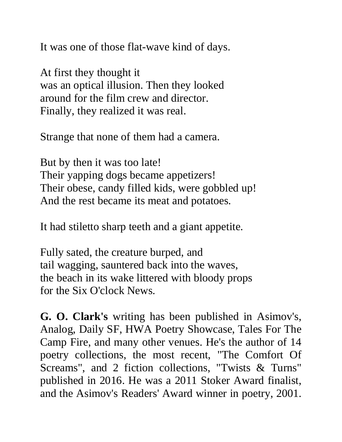It was one of those flat-wave kind of days.

At first they thought it was an optical illusion. Then they looked around for the film crew and director. Finally, they realized it was real.

Strange that none of them had a camera.

But by then it was too late! Their yapping dogs became appetizers! Their obese, candy filled kids, were gobbled up! And the rest became its meat and potatoes.

It had stiletto sharp teeth and a giant appetite.

Fully sated, the creature burped, and tail wagging, sauntered back into the waves, the beach in its wake littered with bloody props for the Six O'clock News.

**G. O. Clark's** writing has been published in Asimov's, Analog, Daily SF, HWA Poetry Showcase, Tales For The Camp Fire, and many other venues. He's the author of 14 poetry collections, the most recent, "The Comfort Of Screams", and 2 fiction collections, "Twists & Turns" published in 2016. He was a 2011 Stoker Award finalist, and the Asimov's Readers' Award winner in poetry, 2001.